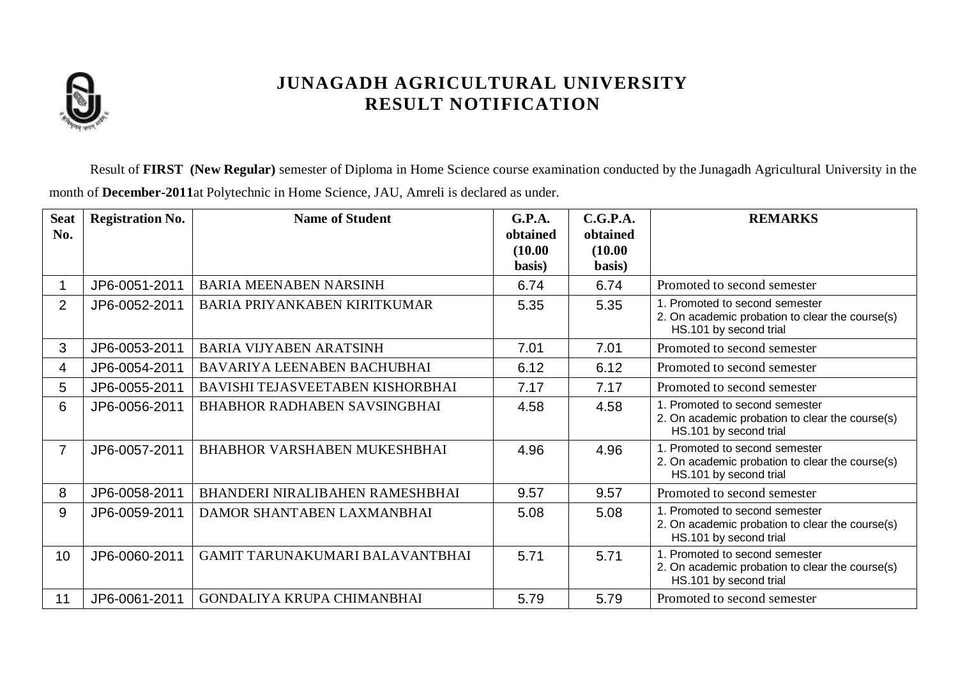

Result of **FIRST (New Regular)** semester of Diploma in Home Science course examination conducted by the Junagadh Agricultural University in the month of **December-2011**at Polytechnic in Home Science, JAU, Amreli is declared as under.

| <b>Seat</b><br>No. | <b>Registration No.</b> | <b>Name of Student</b>              | <b>G.P.A.</b><br>obtained<br>(10.00)<br>basis) | C.G.P.A.<br>obtained<br>(10.00)<br>basis) | <b>REMARKS</b>                                                                                              |
|--------------------|-------------------------|-------------------------------------|------------------------------------------------|-------------------------------------------|-------------------------------------------------------------------------------------------------------------|
|                    | JP6-0051-2011           | <b>BARIA MEENABEN NARSINH</b>       | 6.74                                           | 6.74                                      | Promoted to second semester                                                                                 |
| 2                  | JP6-0052-2011           | <b>BARIA PRIYANKABEN KIRITKUMAR</b> | 5.35                                           | 5.35                                      | 1. Promoted to second semester<br>2. On academic probation to clear the course(s)<br>HS.101 by second trial |
| 3                  | JP6-0053-2011           | <b>BARIA VIJYABEN ARATSINH</b>      | 7.01                                           | 7.01                                      | Promoted to second semester                                                                                 |
| 4                  | JP6-0054-2011           | BAVARIYA LEENABEN BACHUBHAI         | 6.12                                           | 6.12                                      | Promoted to second semester                                                                                 |
| 5                  | JP6-0055-2011           | BAVISHI TEJASVEETABEN KISHORBHAI    | 7.17                                           | 7.17                                      | Promoted to second semester                                                                                 |
| 6                  | JP6-0056-2011           | <b>BHABHOR RADHABEN SAVSINGBHAI</b> | 4.58                                           | 4.58                                      | 1. Promoted to second semester<br>2. On academic probation to clear the course(s)<br>HS.101 by second trial |
| $\overline{7}$     | JP6-0057-2011           | <b>BHABHOR VARSHABEN MUKESHBHAI</b> | 4.96                                           | 4.96                                      | 1. Promoted to second semester<br>2. On academic probation to clear the course(s)<br>HS.101 by second trial |
| 8                  | JP6-0058-2011           | BHANDERI NIRALIBAHEN RAMESHBHAI     | 9.57                                           | 9.57                                      | Promoted to second semester                                                                                 |
| 9                  | JP6-0059-2011           | DAMOR SHANTABEN LAXMANBHAI          | 5.08                                           | 5.08                                      | 1. Promoted to second semester<br>2. On academic probation to clear the course(s)<br>HS.101 by second trial |
| 10                 | JP6-0060-2011           | GAMIT TARUNAKUMARI BALAVANTBHAI     | 5.71                                           | 5.71                                      | 1. Promoted to second semester<br>2. On academic probation to clear the course(s)<br>HS.101 by second trial |
| 11                 | JP6-0061-2011           | GONDALIYA KRUPA CHIMANBHAI          | 5.79                                           | 5.79                                      | Promoted to second semester                                                                                 |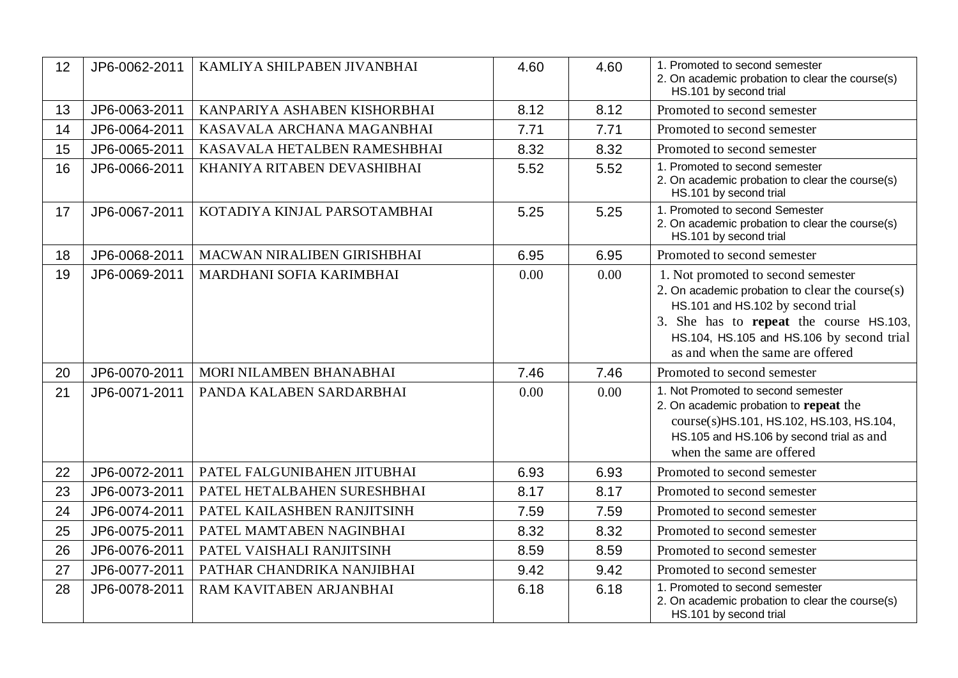| 12 | JP6-0062-2011 | KAMLIYA SHILPABEN JIVANBHAI  | 4.60 | 4.60 | 1. Promoted to second semester<br>2. On academic probation to clear the course(s)<br>HS.101 by second trial                                                                                                                                               |
|----|---------------|------------------------------|------|------|-----------------------------------------------------------------------------------------------------------------------------------------------------------------------------------------------------------------------------------------------------------|
| 13 | JP6-0063-2011 | KANPARIYA ASHABEN KISHORBHAI | 8.12 | 8.12 | Promoted to second semester                                                                                                                                                                                                                               |
| 14 | JP6-0064-2011 | KASAVALA ARCHANA MAGANBHAI   | 7.71 | 7.71 | Promoted to second semester                                                                                                                                                                                                                               |
| 15 | JP6-0065-2011 | KASAVALA HETALBEN RAMESHBHAI | 8.32 | 8.32 | Promoted to second semester                                                                                                                                                                                                                               |
| 16 | JP6-0066-2011 | KHANIYA RITABEN DEVASHIBHAI  | 5.52 | 5.52 | 1. Promoted to second semester<br>2. On academic probation to clear the course(s)<br>HS.101 by second trial                                                                                                                                               |
| 17 | JP6-0067-2011 | KOTADIYA KINJAL PARSOTAMBHAI | 5.25 | 5.25 | 1. Promoted to second Semester<br>2. On academic probation to clear the course(s)<br>HS.101 by second trial                                                                                                                                               |
| 18 | JP6-0068-2011 | MACWAN NIRALIBEN GIRISHBHAI  | 6.95 | 6.95 | Promoted to second semester                                                                                                                                                                                                                               |
| 19 | JP6-0069-2011 | MARDHANI SOFIA KARIMBHAI     | 0.00 | 0.00 | 1. Not promoted to second semester<br>2. On academic probation to clear the course $(s)$<br>HS.101 and HS.102 by second trial<br>3. She has to repeat the course HS.103,<br>HS.104, HS.105 and HS.106 by second trial<br>as and when the same are offered |
| 20 | JP6-0070-2011 | MORI NILAMBEN BHANABHAI      | 7.46 | 7.46 | Promoted to second semester                                                                                                                                                                                                                               |
| 21 | JP6-0071-2011 | PANDA KALABEN SARDARBHAI     | 0.00 | 0.00 | 1. Not Promoted to second semester<br>2. On academic probation to repeat the<br>course(s)HS.101, HS.102, HS.103, HS.104,<br>HS.105 and HS.106 by second trial as and<br>when the same are offered                                                         |
| 22 | JP6-0072-2011 | PATEL FALGUNIBAHEN JITUBHAI  | 6.93 | 6.93 | Promoted to second semester                                                                                                                                                                                                                               |
| 23 | JP6-0073-2011 | PATEL HETALBAHEN SURESHBHAI  | 8.17 | 8.17 | Promoted to second semester                                                                                                                                                                                                                               |
| 24 | JP6-0074-2011 | PATEL KAILASHBEN RANJITSINH  | 7.59 | 7.59 | Promoted to second semester                                                                                                                                                                                                                               |
| 25 | JP6-0075-2011 | PATEL MAMTABEN NAGINBHAI     | 8.32 | 8.32 | Promoted to second semester                                                                                                                                                                                                                               |
| 26 | JP6-0076-2011 | PATEL VAISHALI RANJITSINH    | 8.59 | 8.59 | Promoted to second semester                                                                                                                                                                                                                               |
| 27 | JP6-0077-2011 | PATHAR CHANDRIKA NANJIBHAI   | 9.42 | 9.42 | Promoted to second semester                                                                                                                                                                                                                               |
| 28 | JP6-0078-2011 | RAM KAVITABEN ARJANBHAI      | 6.18 | 6.18 | 1. Promoted to second semester<br>2. On academic probation to clear the course(s)<br>HS.101 by second trial                                                                                                                                               |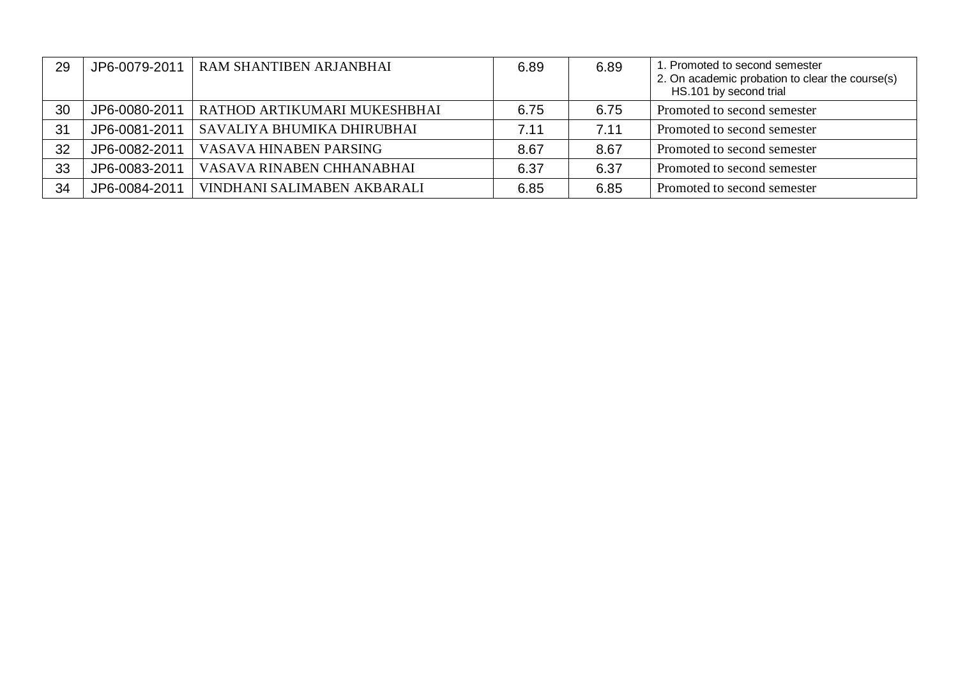| 29 | JP6-0079-2011 | RAM SHANTIBEN ARJANBHAI      | 6.89 | 6.89 | 1. Promoted to second semester<br>2. On academic probation to clear the course(s)<br>HS.101 by second trial |
|----|---------------|------------------------------|------|------|-------------------------------------------------------------------------------------------------------------|
| 30 | JP6-0080-2011 | RATHOD ARTIKUMARI MUKESHBHAI | 6.75 | 6.75 | Promoted to second semester                                                                                 |
| 31 | JP6-0081-2011 | SAVALIYA BHUMIKA DHIRUBHAI   | 7.11 | 7.11 | Promoted to second semester                                                                                 |
| 32 | JP6-0082-2011 | VASAVA HINABEN PARSING       | 8.67 | 8.67 | Promoted to second semester                                                                                 |
| 33 | JP6-0083-2011 | VASAVA RINABEN CHHANABHAI    | 6.37 | 6.37 | Promoted to second semester                                                                                 |
| 34 | JP6-0084-2011 | VINDHANI SALIMABEN AKBARALI  | 6.85 | 6.85 | Promoted to second semester                                                                                 |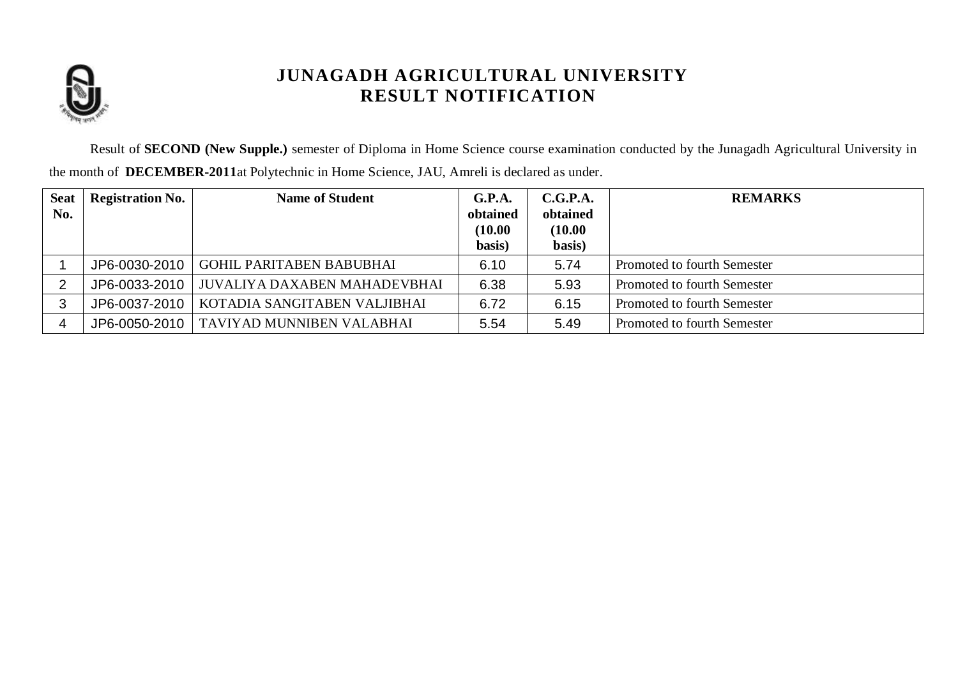

Result of **SECOND (New Supple.)** semester of Diploma in Home Science course examination conducted by the Junagadh Agricultural University in the month of **DECEMBER-2011**at Polytechnic in Home Science, JAU, Amreli is declared as under.

| <b>Seat</b><br>No. | <b>Registration No.</b> | <b>Name of Student</b>          | G.P.A.<br>obtained<br>(10.00)<br>basis) | C.G.P.A.<br>obtained<br>(10.00)<br>basis) | <b>REMARKS</b>              |
|--------------------|-------------------------|---------------------------------|-----------------------------------------|-------------------------------------------|-----------------------------|
|                    | JP6-0030-2010           | <b>GOHIL PARITABEN BABUBHAI</b> | 6.10                                    | 5.74                                      | Promoted to fourth Semester |
| $\overline{2}$     | JP6-0033-2010           | JUVALIYA DAXABEN MAHADEVBHAI    | 6.38                                    | 5.93                                      | Promoted to fourth Semester |
| 3                  | JP6-0037-2010           | KOTADIA SANGITABEN VALJIBHAI    | 6.72                                    | 6.15                                      | Promoted to fourth Semester |
|                    | JP6-0050-2010           | TAVIYAD MUNNIBEN VALABHAI       | 5.54                                    | 5.49                                      | Promoted to fourth Semester |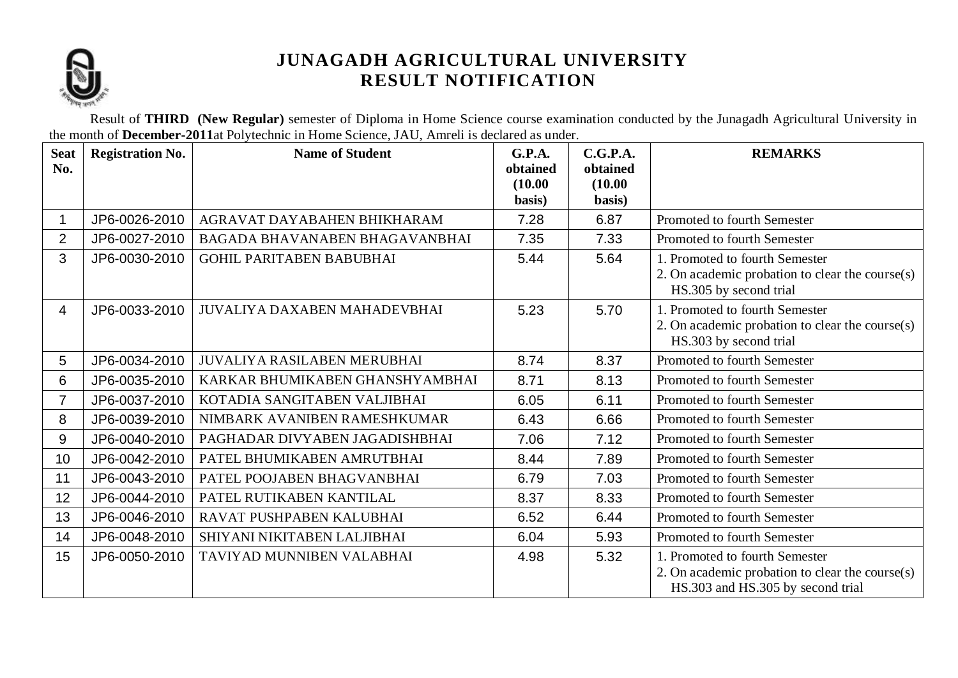

Result of **THIRD (New Regular)** semester of Diploma in Home Science course examination conducted by the Junagadh Agricultural University in the month of **December-2011**at Polytechnic in Home Science, JAU, Amreli is declared as under.

| <b>Seat</b><br>No. | <b>Registration No.</b> | <b>Name of Student</b>              | G.P.A.<br>obtained<br>(10.00)<br>basis) | C.G.P.A.<br>obtained<br>(10.00)<br>basis) | <b>REMARKS</b>                                                                                                         |
|--------------------|-------------------------|-------------------------------------|-----------------------------------------|-------------------------------------------|------------------------------------------------------------------------------------------------------------------------|
|                    | JP6-0026-2010           | AGRAVAT DAYABAHEN BHIKHARAM         | 7.28                                    | 6.87                                      | Promoted to fourth Semester                                                                                            |
| $\overline{2}$     | JP6-0027-2010           | BAGADA BHAVANABEN BHAGAVANBHAI      | 7.35                                    | 7.33                                      | Promoted to fourth Semester                                                                                            |
| 3                  | JP6-0030-2010           | <b>GOHIL PARITABEN BABUBHAI</b>     | 5.44                                    | 5.64                                      | 1. Promoted to fourth Semester<br>2. On academic probation to clear the course(s)<br>HS.305 by second trial            |
| 4                  | JP6-0033-2010           | <b>JUVALIYA DAXABEN MAHADEVBHAI</b> | 5.23                                    | 5.70                                      | 1. Promoted to fourth Semester<br>2. On academic probation to clear the course(s)<br>HS.303 by second trial            |
| 5                  | JP6-0034-2010           | <b>JUVALIYA RASILABEN MERUBHAI</b>  | 8.74                                    | 8.37                                      | Promoted to fourth Semester                                                                                            |
| 6                  | JP6-0035-2010           | KARKAR BHUMIKABEN GHANSHYAMBHAI     | 8.71                                    | 8.13                                      | Promoted to fourth Semester                                                                                            |
| $\overline{7}$     | JP6-0037-2010           | KOTADIA SANGITABEN VALJIBHAI        | 6.05                                    | 6.11                                      | Promoted to fourth Semester                                                                                            |
| 8                  | JP6-0039-2010           | NIMBARK AVANIBEN RAMESHKUMAR        | 6.43                                    | 6.66                                      | Promoted to fourth Semester                                                                                            |
| 9                  | JP6-0040-2010           | PAGHADAR DIVYABEN JAGADISHBHAI      | 7.06                                    | 7.12                                      | Promoted to fourth Semester                                                                                            |
| 10                 | JP6-0042-2010           | PATEL BHUMIKABEN AMRUTBHAI          | 8.44                                    | 7.89                                      | Promoted to fourth Semester                                                                                            |
| 11                 | JP6-0043-2010           | PATEL POOJABEN BHAGVANBHAI          | 6.79                                    | 7.03                                      | Promoted to fourth Semester                                                                                            |
| 12                 | JP6-0044-2010           | PATEL RUTIKABEN KANTILAL            | 8.37                                    | 8.33                                      | Promoted to fourth Semester                                                                                            |
| 13                 | JP6-0046-2010           | RAVAT PUSHPABEN KALUBHAI            | 6.52                                    | 6.44                                      | Promoted to fourth Semester                                                                                            |
| 14                 | JP6-0048-2010           | SHIYANI NIKITABEN LALJIBHAI         | 6.04                                    | 5.93                                      | Promoted to fourth Semester                                                                                            |
| 15                 | JP6-0050-2010           | TAVIYAD MUNNIBEN VALABHAI           | 4.98                                    | 5.32                                      | 1. Promoted to fourth Semester<br>2. On academic probation to clear the course(s)<br>HS.303 and HS.305 by second trial |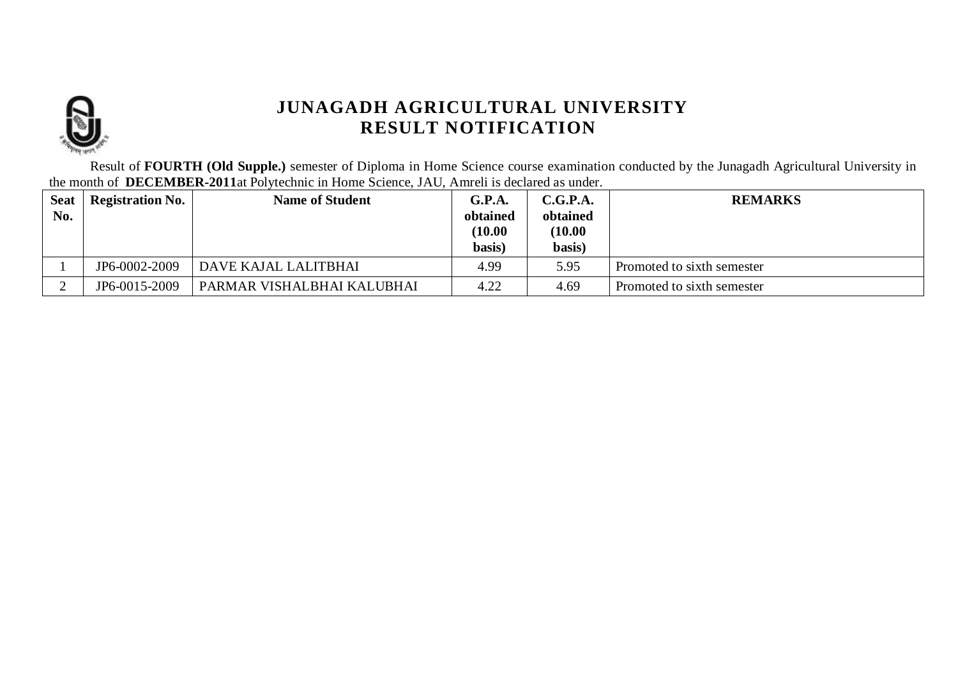

Result of **FOURTH (Old Supple.)** semester of Diploma in Home Science course examination conducted by the Junagadh Agricultural University in the month of **DECEMBER-2011**at Polytechnic in Home Science, JAU, Amreli is declared as under.

| <b>Seat</b> | <b>Registration No.</b> | <b>Name of Student</b>     | G.P.A.   | C.G.P.A. | <b>REMARKS</b>             |
|-------------|-------------------------|----------------------------|----------|----------|----------------------------|
| No.         |                         |                            | obtained | obtained |                            |
|             |                         |                            | (10.00)  | (10.00)  |                            |
|             |                         |                            | basis)   | basis)   |                            |
|             | JP6-0002-2009           | DAVE KAJAL LALITBHAI       | 4.99     | 5.95     | Promoted to sixth semester |
|             | JP6-0015-2009           | PARMAR VISHALBHAI KALUBHAI | 4.22     | 4.69     | Promoted to sixth semester |